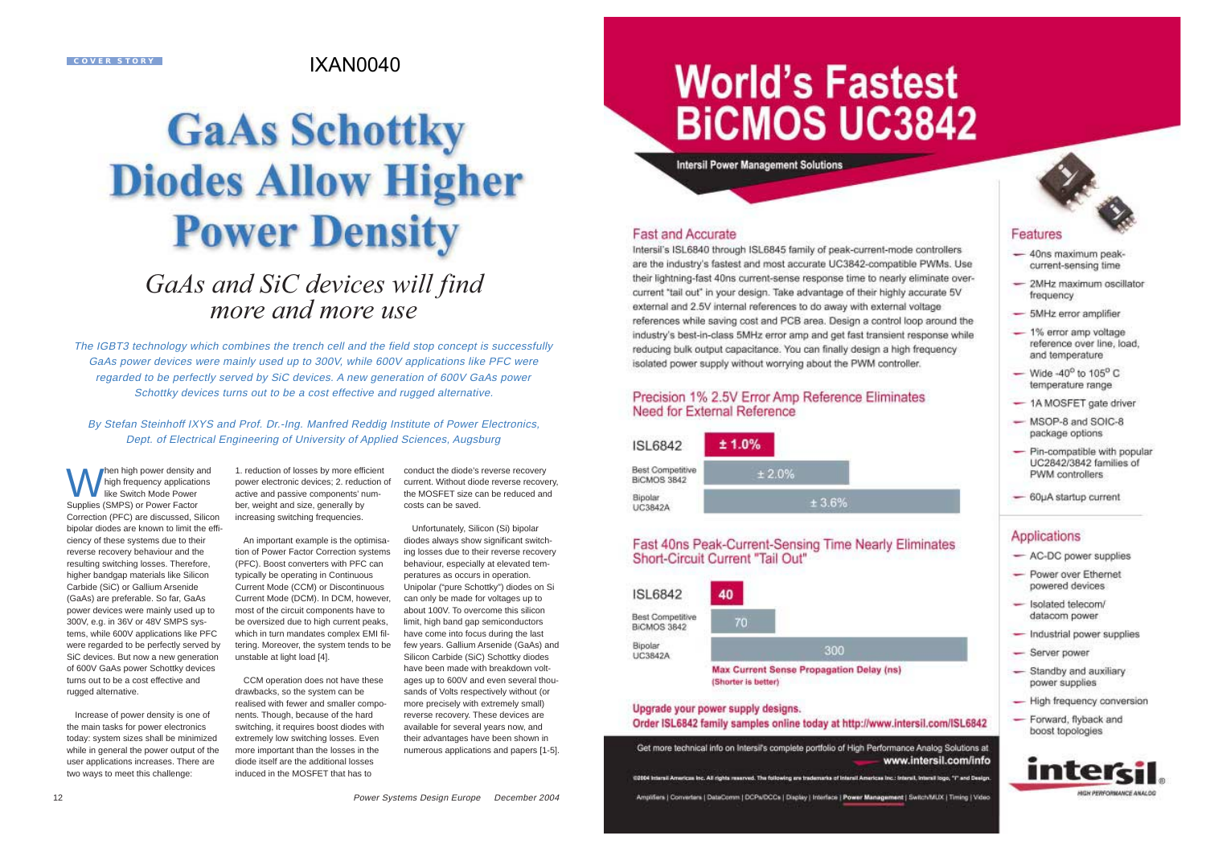#### **COVER STORY**

## IXAN0040

# **GaAs Schottky Diodes Allow Higher Power Density**

## *GaAs and SiC devices will find more and more use*

The IGBT3 technology which combines the trench cell and the field stop concept is successfully GaAs power devices were mainly used up to 300V, while 600V applications like PFC were regarded to be perfectly served by SiC devices. A new generation of 600V GaAs power Schottky devices turns out to be a cost effective and rugged alternative.

By Stefan Steinhoff IXYS and Prof. Dr.-Ing. Manfred Reddig Institute of Power Electronics, Dept. of Electrical Engineering of University of Applied Sciences, Augsburg

When high power density and high frequency applications like Switch Mode PowerSupplies (SMPS) or Power Factor Correction (PFC) are discussed, Silicon bipolar diodes are known to limit the efficiency of these systems due to their reverse recovery behaviour and the resulting switching losses. Therefore, higher bandgap materials like Silicon Carbide (SiC) or Gallium Arsenide (GaAs) are preferable. So far, GaAs power devices were mainly used up to 300V, e.g. in 36V or 48V SMPS systems, while 600V applications like PFC were regarded to be perfectly served by SiC devices. But now a new generation of 600V GaAs power Schottky devices turns out to be a cost effective andrugged alternative.

Increase of power density is one of the main tasks for power electronics today: system sizes shall be minimized while in general the power output of the user applications increases. There are two ways to meet this challenge:

1. reduction of losses by more efficient power electronic devices; 2. reduction of active and passive components' number, weight and size, generally by increasing switching frequencies.

An important example is the optimisation of Power Factor Correction systems (PFC). Boost converters with PFC can typically be operating in Continuous Current Mode (CCM) or Discontinuous Current Mode (DCM). In DCM, however, most of the circuit components have to be oversized due to high current peaks, which in turn mandates complex EMI filtering. Moreover, the system tends to be unstable at light load [4].

CCM operation does not have these drawbacks, so the system can be realised with fewer and smaller components. Though, because of the hard switching, it requires boost diodes with extremely low switching losses. Even more important than the losses in the diode itself are the additional lossesinduced in the MOSFET that has to

conduct the diode's reverse recovery current. Without diode reverse recovery, the MOSFET size can be reduced andcosts can be saved.

Unfortunately, Silicon (Si) bipolar diodes always show significant switching losses due to their reverse recovery behaviour, especially at elevated temperatures as occurs in operation. Unipolar ("pure Schottky") diodes on Si can only be made for voltages up to about 100V. To overcome this silicon limit, high band gap semiconductors have come into focus during the last few years. Gallium Arsenide (GaAs) and Silicon Carbide (SiC) Schottky diodes have been made with breakdown voltages up to 600V and even several thousands of Volts respectively without (or more precisely with extremely small) reverse recovery. These devices are available for several years now, and their advantages have been shown in numerous applications and papers [1-5].

## **World's Fastest BICMOS UC3842**

**Intersil Power Management Solutions** 

#### **Fast and Accurate**

Intersil's ISL6840 through ISL6845 family of peak-current-mode controllers are the industry's fastest and most accurate UC3842-compatible PWMs. Use their lightning-fast 40ns current-sense response time to nearly eliminate overcurrent "tail out" in your design. Take advantage of their highly accurate 5V external and 2.5V internal references to do away with external voltage references while saving cost and PCB area. Design a control loop around the industry's best-in-class 5MHz error amp and get fast transient response while reducing bulk output capacitance. You can finally design a high frequency isolated power supply without worrying about the PWM controller.

#### Precision 1% 2.5V Error Amp Reference Eliminates Need for External Reference

| <b>ISL6842</b>                         | ± 1.0% |  |
|----------------------------------------|--------|--|
| <b>Best Competitive</b><br>BICMOS 3842 | ± 2.0% |  |
| Bipolar<br><b>UC3842A</b>              | ± 3.6% |  |

#### Fast 40ns Peak-Current-Sensing Time Nearly Eliminates Short-Circuit Current "Tail Out"



**Max Current Sense Propagation Delay (ns)** (Shorter is better)

#### Upgrade your power supply designs.

#### Order ISL6842 family samples online today at http://www.intersil.com/ISL6842

Get more technical info on Intersifs complete portfolio of High Performance Analog Solutions at www.intersil.com/info

02004 Interest American Inc. All rights reserved. The following are trademarks of Interest Americas Inc : Interest, Interest logo, "I" and Design Amplifiers | Converters | DataComm | DCPs/DCCs | Display | Interface | Power Management | Switch/MUX | Timing | Video



- 40ns maximum peakcurrent-sensing time
- 2MHz maximum oscillator frequency
- 5MHz error amplifier
- $-1\%$  error amp voltage reference over line, load, and temperature
- $-$  Wide -40° to 105° C temperature range
- 1A MOSFET gate driver
- $-$  MSOP-8 and SOIC-8 package options
- $-$  Pin-compatible with popular UC2842/3842 families of PWM controllers
- 60µA startup current

#### Applications

- AC-DC power supplies
- Power over Ethernet powered devices
- Isolated telecom/ datacom power
- Industrial power supplies
- Server power
- Standby and auxiliary power supplies
- High frequency conversion
- Forward, flyback and boost topologies

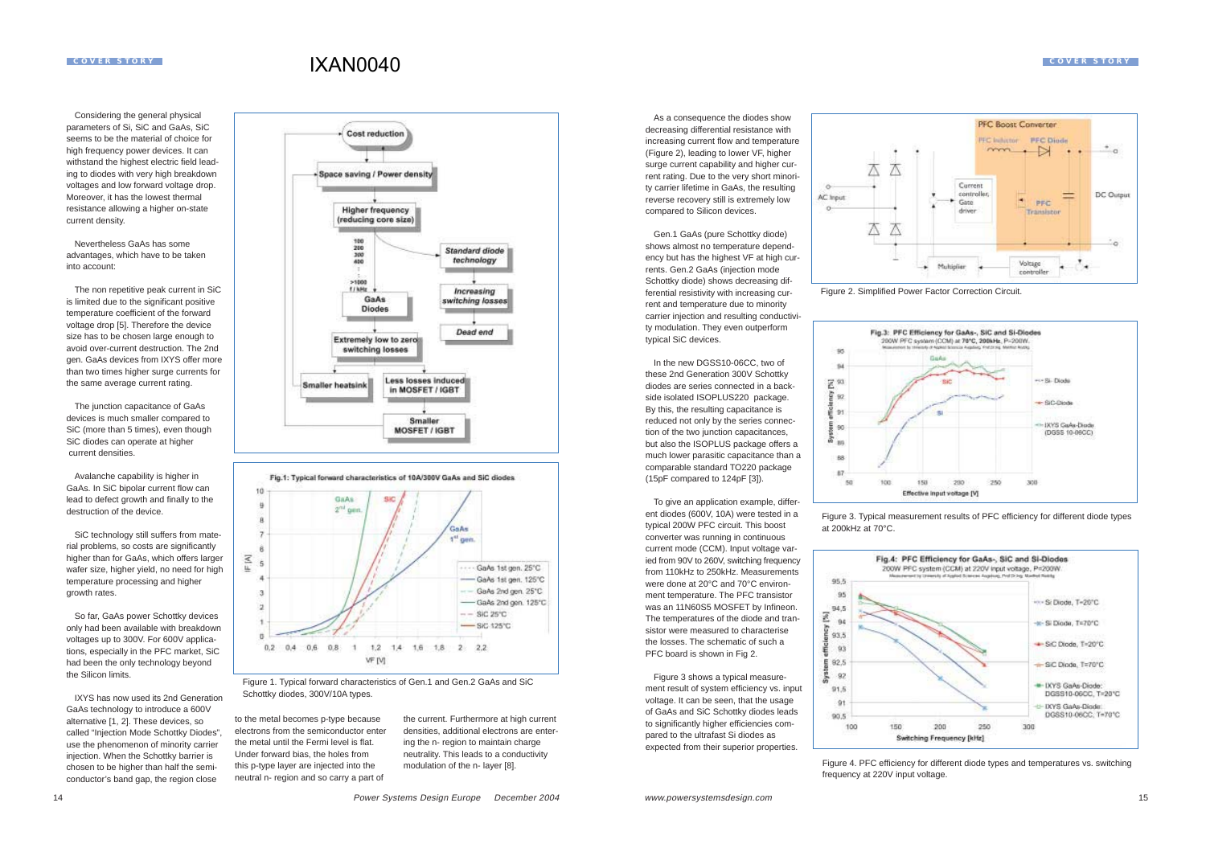### IXAN0040

Considering the general physical parameters of Si, SiC and GaAs, SiC seems to be the material of choice forhigh frequency power devices. It can withstand the highest electric field leading to diodes with very high breakdown voltages and low forward voltage drop. Moreover, it has the lowest thermal resistance allowing a higher on-state current density.

Nevertheless GaAs has some advantages, which have to be taken into account:

The non repetitive peak current in SiC is limited due to the significant positive temperature coefficient of the forward voltage drop [5]. Therefore the device size has to be chosen large enough to avoid over-current destruction. The 2nd gen. GaAs devices from IXYS offer more than two times higher surge currents for the same average current rating.

The junction capacitance of GaAs devices is much smaller compared to SiC (more than 5 times), even though SiC diodes can operate at higher current densities.

Avalanche capability is higher in GaAs. In SiC bipolar current flow can lead to defect growth and finally to the destruction of the device.

SiC technology still suffers from material problems, so costs are significantly higher than for GaAs, which offers larger wafer size, higher yield, no need for high temperature processing and higher growth rates.

 $\overline{\epsilon}$ 

So far, GaAs power Schottky devices only had been available with breakdown voltages up to 300V. For 600V applications, especially in the PFC market, SiC had been the only technology beyond the Silicon limits.

IXYS has now used its 2nd GenerationGaAs technology to introduce a 600V alternative [1, 2]. These devices, so called "Injection Mode Schottky Diodes", use the phenomenon of minority carrier injection. When the Schottky barrier is chosen to be higher than half the semiconductor's band gap, the region close





Figure 1. Typical forward characteristics of Gen.1 and Gen.2 GaAs and SiC Schottky diodes, 300V/10A types.

to the metal becomes p-type because electrons from the semiconductor enterthe metal until the Fermi level is flat.Under forward bias, the holes from this p-type layer are injected into the neutral n- region and so carry a part of the current. Furthermore at high current densities, additional electrons are entering the n- region to maintain charge neutrality. This leads to a conductivity modulation of the n- layer [8].

decreasing differential resistance with increasing current flow and temperature (Figure 2), leading to lower VF, higher surge current capability and higher current rating. Due to the very short minority carrier lifetime in GaAs, the resulting reverse recovery still is extremely low compared to Silicon devices.

As a consequence the diodes show

Gen.1 GaAs (pure Schottky diode) shows almost no temperature dependency but has the highest VF at high currents. Gen.2 GaAs (injection mode Schottky diode) shows decreasing differential resistivity with increasing current and temperature due to minority carrier injection and resulting conductivity modulation. They even outperform typical SiC devices.

In the new DGSS10-06CC, two of these 2nd Generation 300V Schottky diodes are series connected in a backside isolated ISOPLUS220 package. By this, the resulting capacitance is reduced not only by the series connection of the two junction capacitances, but also the ISOPLUS package offers a much lower parasitic capacitance than a comparable standard TO220 package (15pF compared to 124pF [3]).

To give an application example, different diodes (600V, 10A) were tested in a typical 200W PFC circuit. This boost converter was running in continuous current mode (CCM). Input voltage varied from 90V to 260V, switching frequency from 110kHz to 250kHz. Measurementswere done at 20°C and 70°C environment temperature. The PFC transistor was an 11N60S5 MOSFET by Infineon. The temperatures of the diode and transistor were measured to characterisethe losses. The schematic of such aPFC board is shown in Fig 2.

Figure 3 shows a typical measurement result of system efficiency vs. input voltage. It can be seen, that the usage of GaAs and SiC Schottky diodes leads to significantly higher efficiencies compared to the ultrafast Si diodes as expected from their superior properties.



Figure 2. Simplified Power Factor Correction Circuit.



Figure 3. Typical measurement results of PFC efficiency for different diode types at 200kHz at 70°C.



Figure 4. PFC efficiency for different diode types and temperatures vs. switching frequency at 220V input voltage.